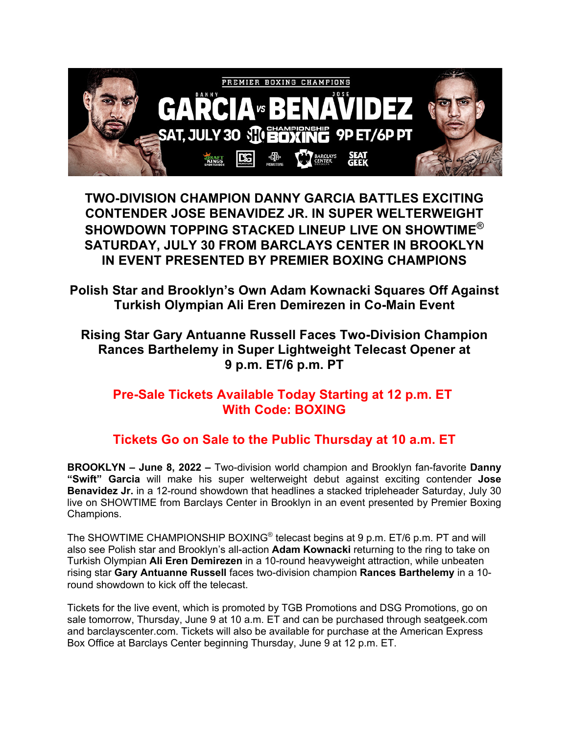

**TWO-DIVISION CHAMPION DANNY GARCIA BATTLES EXCITING CONTENDER JOSE BENAVIDEZ JR. IN SUPER WELTERWEIGHT SHOWDOWN TOPPING STACKED LINEUP LIVE ON SHOWTIME® SATURDAY, JULY 30 FROM BARCLAYS CENTER IN BROOKLYN IN EVENT PRESENTED BY PREMIER BOXING CHAMPIONS**

**Polish Star and Brooklyn's Own Adam Kownacki Squares Off Against Turkish Olympian Ali Eren Demirezen in Co-Main Event**

## **Rising Star Gary Antuanne Russell Faces Two-Division Champion Rances Barthelemy in Super Lightweight Telecast Opener at 9 p.m. ET/6 p.m. PT**

## **Pre-Sale Tickets Available Today Starting at 12 p.m. ET With Code: BOXING**

## **Tickets Go on Sale to the Public Thursday at 10 a.m. ET**

**BROOKLYN – June 8, 2022 –** Two-division world champion and Brooklyn fan-favorite **Danny "Swift" Garcia** will make his super welterweight debut against exciting contender **Jose Benavidez Jr.** in a 12-round showdown that headlines a stacked tripleheader Saturday, July 30 live on SHOWTIME from Barclays Center in Brooklyn in an event presented by Premier Boxing Champions.

The SHOWTIME CHAMPIONSHIP BOXING<sup>®</sup> telecast begins at 9 p.m. ET/6 p.m. PT and will also see Polish star and Brooklyn's all-action **Adam Kownacki** returning to the ring to take on Turkish Olympian **Ali Eren Demirezen** in a 10-round heavyweight attraction, while unbeaten rising star **Gary Antuanne Russell** faces two-division champion **Rances Barthelemy** in a 10 round showdown to kick off the telecast.

Tickets for the live event, which is promoted by TGB Promotions and DSG Promotions, go on sale tomorrow, Thursday, June 9 at 10 a.m. ET and can be purchased through seatgeek.com and barclayscenter.com. Tickets will also be available for purchase at the American Express Box Office at Barclays Center beginning Thursday, June 9 at 12 p.m. ET.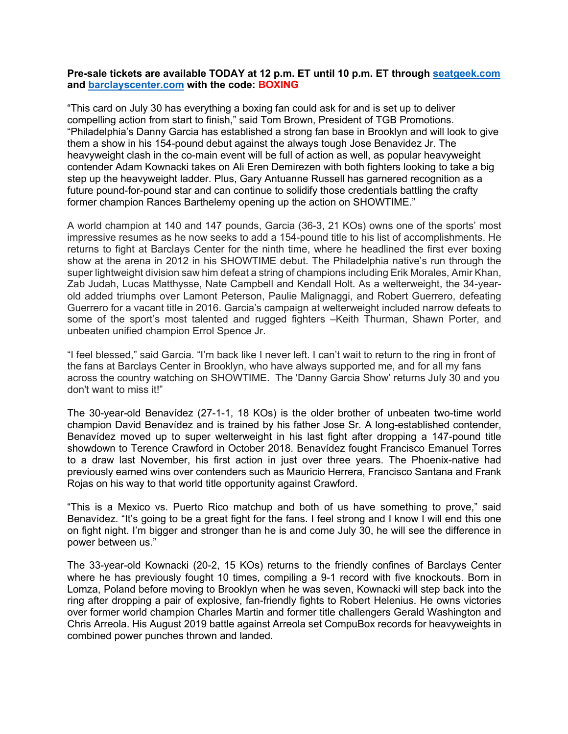## **Pre-sale tickets are available TODAY at 12 p.m. ET until 10 p.m. ET through seatgeek.com and barclayscenter.com with the code: BOXING**

"This card on July 30 has everything a boxing fan could ask for and is set up to deliver compelling action from start to finish," said Tom Brown, President of TGB Promotions. "Philadelphia's Danny Garcia has established a strong fan base in Brooklyn and will look to give them a show in his 154-pound debut against the always tough Jose Benavidez Jr. The heavyweight clash in the co-main event will be full of action as well, as popular heavyweight contender Adam Kownacki takes on Ali Eren Demirezen with both fighters looking to take a big step up the heavyweight ladder. Plus, Gary Antuanne Russell has garnered recognition as a future pound-for-pound star and can continue to solidify those credentials battling the crafty former champion Rances Barthelemy opening up the action on SHOWTIME."

A world champion at 140 and 147 pounds, Garcia (36-3, 21 KOs) owns one of the sports' most impressive resumes as he now seeks to add a 154-pound title to his list of accomplishments. He returns to fight at Barclays Center for the ninth time, where he headlined the first ever boxing show at the arena in 2012 in his SHOWTIME debut. The Philadelphia native's run through the super lightweight division saw him defeat a string of champions including Erik Morales, Amir Khan, Zab Judah, Lucas Matthysse, Nate Campbell and Kendall Holt. As a welterweight, the 34-yearold added triumphs over Lamont Peterson, Paulie Malignaggi, and Robert Guerrero, defeating Guerrero for a vacant title in 2016. Garcia's campaign at welterweight included narrow defeats to some of the sport's most talented and rugged fighters -Keith Thurman, Shawn Porter, and unbeaten unified champion Errol Spence Jr.

"I feel blessed," said Garcia. "I'm back like I never left. I can't wait to return to the ring in front of the fans at Barclays Center in Brooklyn, who have always supported me, and for all my fans across the country watching on SHOWTIME. The 'Danny Garcia Show' returns July 30 and you don't want to miss it!"

The 30-year-old Benavídez (27-1-1, 18 KOs) is the older brother of unbeaten two-time world champion David Benavídez and is trained by his father Jose Sr. A long-established contender, Benavídez moved up to super welterweight in his last fight after dropping a 147-pound title showdown to Terence Crawford in October 2018. Benavídez fought Francisco Emanuel Torres to a draw last November, his first action in just over three years. The Phoenix-native had previously earned wins over contenders such as Mauricio Herrera, Francisco Santana and Frank Rojas on his way to that world title opportunity against Crawford.

"This is a Mexico vs. Puerto Rico matchup and both of us have something to prove," said Benavídez. "It's going to be a great fight for the fans. I feel strong and I know I will end this one on fight night. I'm bigger and stronger than he is and come July 30, he will see the difference in power between us."

The 33-year-old Kownacki (20-2, 15 KOs) returns to the friendly confines of Barclays Center where he has previously fought 10 times, compiling a 9-1 record with five knockouts. Born in Lomza, Poland before moving to Brooklyn when he was seven, Kownacki will step back into the ring after dropping a pair of explosive, fan-friendly fights to Robert Helenius. He owns victories over former world champion Charles Martin and former title challengers Gerald Washington and Chris Arreola. His August 2019 battle against Arreola set CompuBox records for heavyweights in combined power punches thrown and landed.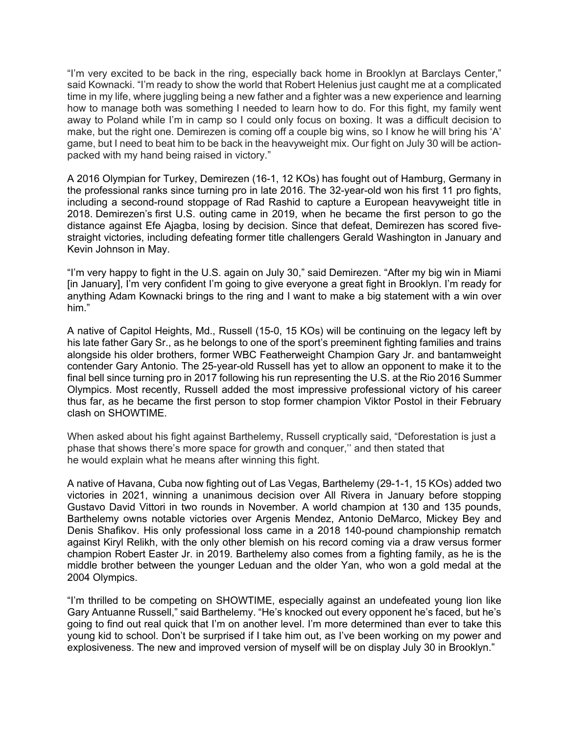"I'm very excited to be back in the ring, especially back home in Brooklyn at Barclays Center," said Kownacki. "I'm ready to show the world that Robert Helenius just caught me at a complicated time in my life, where juggling being a new father and a fighter was a new experience and learning how to manage both was something I needed to learn how to do. For this fight, my family went away to Poland while I'm in camp so I could only focus on boxing. It was a difficult decision to make, but the right one. Demirezen is coming off a couple big wins, so I know he will bring his 'A' game, but I need to beat him to be back in the heavyweight mix. Our fight on July 30 will be actionpacked with my hand being raised in victory."

A 2016 Olympian for Turkey, Demirezen (16-1, 12 KOs) has fought out of Hamburg, Germany in the professional ranks since turning pro in late 2016. The 32-year-old won his first 11 pro fights, including a second-round stoppage of Rad Rashid to capture a European heavyweight title in 2018. Demirezen's first U.S. outing came in 2019, when he became the first person to go the distance against Efe Ajagba, losing by decision. Since that defeat, Demirezen has scored fivestraight victories, including defeating former title challengers Gerald Washington in January and Kevin Johnson in May.

"I'm very happy to fight in the U.S. again on July 30," said Demirezen. "After my big win in Miami [in January], I'm very confident I'm going to give everyone a great fight in Brooklyn. I'm ready for anything Adam Kownacki brings to the ring and I want to make a big statement with a win over him."

A native of Capitol Heights, Md., Russell (15-0, 15 KOs) will be continuing on the legacy left by his late father Gary Sr., as he belongs to one of the sport's preeminent fighting families and trains alongside his older brothers, former WBC Featherweight Champion Gary Jr. and bantamweight contender Gary Antonio. The 25-year-old Russell has yet to allow an opponent to make it to the final bell since turning pro in 2017 following his run representing the U.S. at the Rio 2016 Summer Olympics. Most recently, Russell added the most impressive professional victory of his career thus far, as he became the first person to stop former champion Viktor Postol in their February clash on SHOWTIME.

When asked about his fight against Barthelemy, Russell cryptically said, "Deforestation is just a phase that shows there's more space for growth and conquer,'' and then stated that he would explain what he means after winning this fight.

A native of Havana, Cuba now fighting out of Las Vegas, Barthelemy (29-1-1, 15 KOs) added two victories in 2021, winning a unanimous decision over All Rivera in January before stopping Gustavo David Vittori in two rounds in November. A world champion at 130 and 135 pounds, Barthelemy owns notable victories over Argenis Mendez, Antonio DeMarco, Mickey Bey and Denis Shafikov. His only professional loss came in a 2018 140-pound championship rematch against Kiryl Relikh, with the only other blemish on his record coming via a draw versus former champion Robert Easter Jr. in 2019. Barthelemy also comes from a fighting family, as he is the middle brother between the younger Leduan and the older Yan, who won a gold medal at the 2004 Olympics.

"I'm thrilled to be competing on SHOWTIME, especially against an undefeated young lion like Gary Antuanne Russell," said Barthelemy. "He's knocked out every opponent he's faced, but he's going to find out real quick that I'm on another level. I'm more determined than ever to take this young kid to school. Don't be surprised if I take him out, as I've been working on my power and explosiveness. The new and improved version of myself will be on display July 30 in Brooklyn."